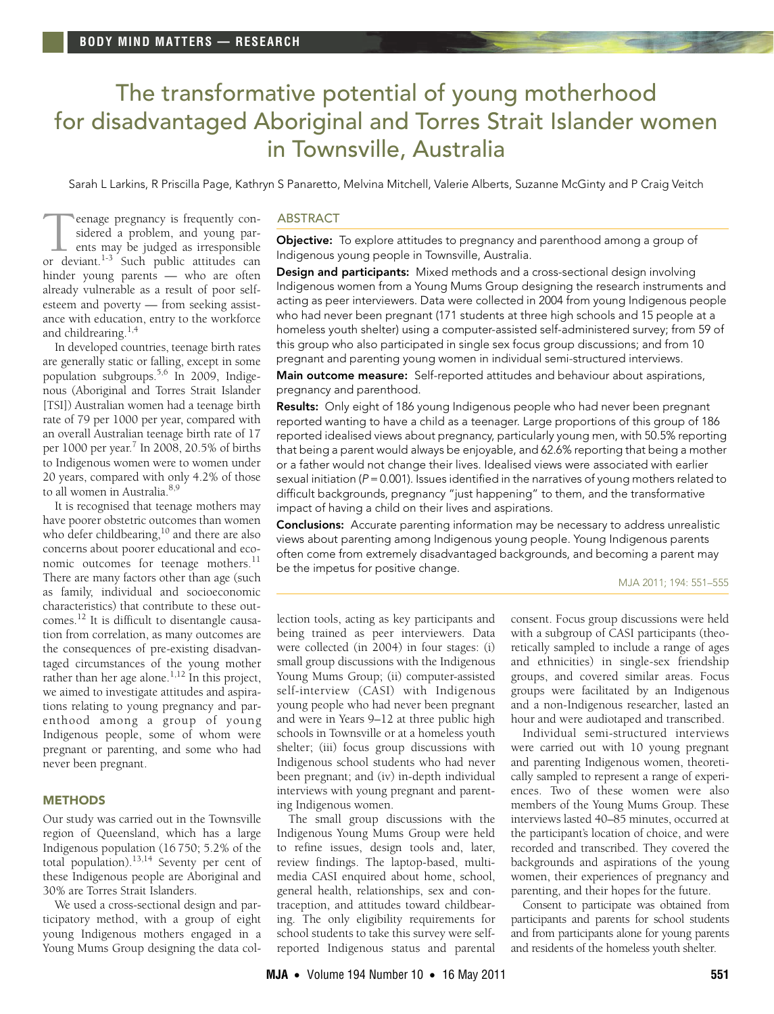# <span id="page-0-0"></span>The transformative potential of young motherhood for disadvantaged Aboriginal and Torres Strait Islander women in Townsville, Australia

Sarah L Larkins, R Priscilla Page, Kathryn S Panaretto, Melvina Mitchell, Valerie Alberts, Suzanne McGinty and P Craig Veitch

already vulnerable as a result of poor selfesteem and poverty — from seeking a[ssist](#page-0-0)[ance with](#page-4-13) education, entry to the workforce and [c](#page-4-0)hildrearing. $1,4$ eenage pregnancy is frequently considered a problem, and young par-**L** ents may be judged as irresponsible The eenage pregnancy is frequently considered a problem, and young parents may be judged as irresponsible or deviant.<sup>[1](#page-4-0)-3</sup> Such public attitudes can hinder young parents — who are often

In developed countries, teenage birth rates are generally static or falling, except in some population subgroups.[5,](#page-4-3)[6](#page-4-4) In 2009, Indigenous (Aboriginal and Torres Strait Islander [TSI]) Australian women had a teenage birth rate of 79 per 1000 per year, compared with an overall Australian teenage birth rate of 17 per 1000 per year.<sup>[7](#page-4-5)</sup> In 2008, 20.5% of births to Indigenous women were to women under 20 years, compared with only 4.2% of those to all women in Australia.[8](#page-4-6)[,9](#page-4-7)

It is recognised that teenage mothers may have poorer obstetric outcomes than women who defer childbearing,<sup>10</sup> and there are also concerns about poorer educational and eco-nomic outcomes for teenage mothers.<sup>[11](#page-4-9)</sup> There are many factors other than age (such as family, individual and socioeconomic characteristics) that contribute to these outcomes.[12](#page-4-10) It is difficult to disentangle causation from correlation, as many outcomes are the consequences of pre-existing disadvantaged circumstances of the young mother rather than her age alone. $1,12$  $1,12$  In this project, we aimed to investigate attitudes and aspirations relating to young pregnancy and parenthood among a group of young Indigenous people, some of whom were pregnant or parenting, and some who had never been pregnant.

### **METHODS**

Our study was carried out in the Townsville region of Queensland, which has a large Indigenous population (16 750; 5.2% of the total population).<sup>[13](#page-4-11)[,14](#page-4-12)</sup> Seventy per cent of these Indigenous people are Aboriginal and 30% are Torres Strait Islanders.

We used a cross-sectional design and participatory method, with a group of eight young Indigenous mothers engaged in a Young Mums Group designing the data col-

# ABSTRACT

**Objective:** To explore attitudes to pregnancy and parenthood among a group of Indigenous young people in Townsville, Australia.

Design and participants: Mixed methods and a cross-sectional design involving Indigenous women from a Young Mums Group designing the research instruments and acting as peer interviewers. Data were collected in 2004 from young Indigenous people who had never been pregnant (171 students at three high schools and 15 people at a homeless youth shelter) using a computer-assisted self-administered survey; from 59 of this group who also participated in single sex focus group discussions; and from 10 pregnant and parenting young women in individual semi-structured interviews.

Main outcome measure: Self-reported attitudes and behaviour about aspirations, pregnancy and parenthood.

Results: Only eight of 186 young Indigenous people who had never been pregnant reported wanting to have a child as a teenager. Large proportions of this group of 186 reported idealised views about pregnancy, particularly young men, with 50.5% reporting that being a parent would always be enjoyable, and 62.6% reporting that being a mother or a father would not change their lives. Idealised views were associated with earlier sexual initiation ( $P = 0.001$ ). Issues identified in the narratives of young mothers related to difficult backgrounds, pregnancy "just happening" to them, and the transformative impact of having a child on their lives and aspirations.

**Conclusions:** Accurate parenting information may be necessary to address unrealistic views about parenting among Indigenous young people. Young Indigenous parents often come from extremely disadvantaged backgrounds, and becoming a parent may be the impetus for positive change.

MJA 2011; 194: 551–555

lection tools, acting as key participants and being trained as peer interviewers. Data were collected (in 2004) in four stages: (i) small group discussions with the Indigenous Young Mums Group; (ii) computer-assisted self-interview (CASI) with Indigenous young people who had never been pregnant and were in Years 9–12 at three public high schools in Townsville or at a homeless youth shelter; (iii) focus group discussions with Indigenous school students who had never been pregnant; and (iv) in-depth individual interviews with young pregnant and parenting Indigenous women.

The small group discussions with the Indigenous Young Mums Group were held to refine issues, design tools and, later, review findings. The laptop-based, multimedia CASI enquired about home, school, general health, relationships, sex and contraception, and attitudes toward childbearing. The only eligibility requirements for school students to take this survey were selfreported Indigenous status and parental

consent. Focus group discussions were held with a subgroup of CASI participants (theoretically sampled to include a range of ages and ethnicities) in single-sex friendship groups, and covered similar areas. Focus groups were facilitated by an Indigenous and a non-Indigenous researcher, lasted an hour and were audiotaped and transcribed.

Individual semi-structured interviews were carried out with 10 young pregnant and parenting Indigenous women, theoretically sampled to represent a range of experiences. Two of these women were also members of the Young Mums Group. These interviews lasted 40–85 minutes, occurred at the participant's location of choice, and were recorded and transcribed. They covered the backgrounds and aspirations of the young women, their experiences of pregnancy and parenting, and their hopes for the future.

Consent to participate was obtained from participants and parents for school students and from participants alone for young parents and residents of the homeless youth shelter.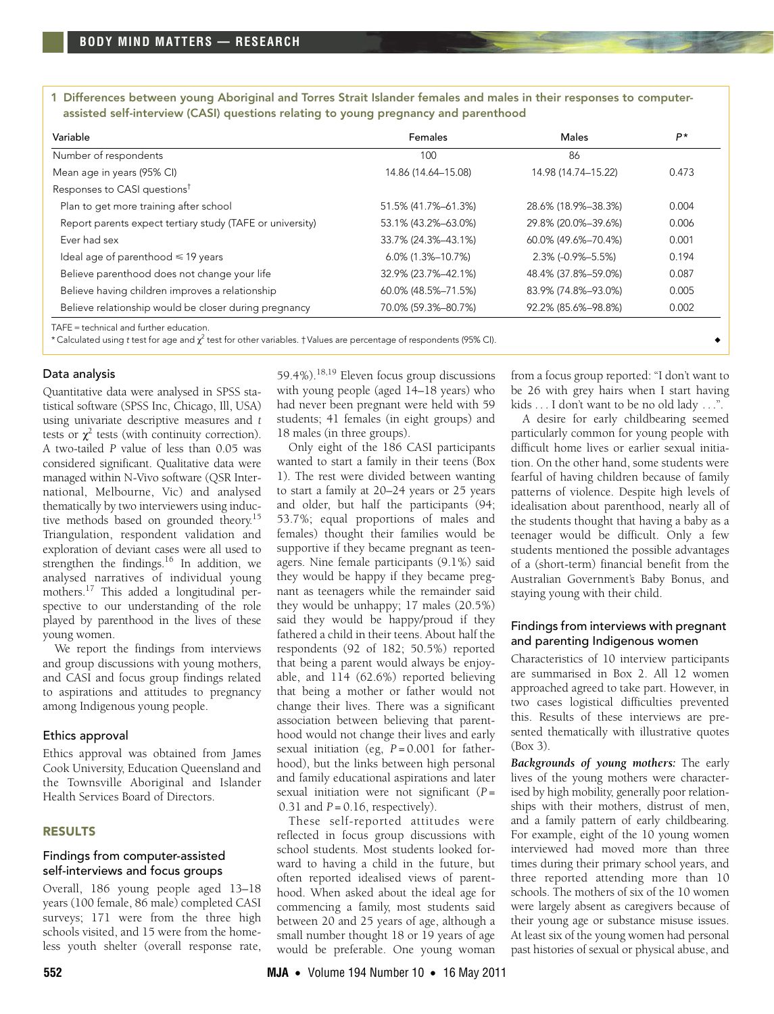1 Differences between young Aboriginal and Torres Strait Islander females and males in their responses to computerassisted self-interview (CASI) questions relating to young pregnancy and parenthood

| Variable                                                  | <b>Females</b>       | Males<br>86         | P*    |
|-----------------------------------------------------------|----------------------|---------------------|-------|
| Number of respondents                                     | 100                  |                     |       |
| Mean age in years (95% CI)                                | 14.86 (14.64-15.08)  | 14.98 (14.74-15.22) | 0.473 |
| Responses to CASI questions <sup>†</sup>                  |                      |                     |       |
| Plan to get more training after school                    | 51.5% (41.7%-61.3%)  | 28.6% (18.9%-38.3%) | 0.004 |
| Report parents expect tertiary study (TAFE or university) | 53.1% (43.2%-63.0%)  | 29.8% (20.0%-39.6%) | 0.006 |
| Ever had sex                                              | 33.7% (24.3%-43.1%)  | 60.0% (49.6%-70.4%) | 0.001 |
| Ideal age of parenthood $\leq 19$ years                   | $6.0\%$ (1.3%-10.7%) | 2.3% (-0.9%-5.5%)   | 0.194 |
| Believe parenthood does not change your life              | 32.9% (23.7%-42.1%)  | 48.4% (37.8%-59.0%) | 0.087 |
| Believe having children improves a relationship           | 60.0% (48.5%-71.5%)  | 83.9% (74.8%-93.0%) | 0.005 |
| Believe relationship would be closer during pregnancy     | 70.0% (59.3%-80.7%)  | 92.2% (85.6%-98.8%) | 0.002 |

\* Calculated using t test for age and  $\chi^2$  test for other variables. †Values are percentage of respondents (95% CI).

### Data analysis

Quantitative data were analysed in SPSS statistical software (SPSS Inc, Chicago, Ill, USA) using univariate descriptive measures and *t* tests or  $\chi^2$  tests (with continuity correction). A two-tailed *P* value of less than 0.05 was considered significant. Qualitative data were managed within N-Vivo software (QSR International, Melbourne, Vic) and analysed thematically by two interviewers using inductive methods based on grounded theory[.15](#page-4-14) Triangulation, respondent validation and exploration of deviant cases were all used to strengthen the findings. $16$  In addition, we analysed narratives of individual young mothers.[17](#page-4-16) This added a longitudinal perspective to our understanding of the role played by parenthood in the lives of these young women.

We report the findings from interviews and group discussions with young mothers, and CASI and focus group findings related to aspirations and attitudes to pregnancy among Indigenous young people.

## Ethics approval

Ethics approval was obtained from James Cook University, Education Queensland and the Townsville Aboriginal and Islander Health Services Board of Directors.

### RESULTS

# Findings from computer-assisted self-interviews and focus groups

Overall, 186 young people aged 13–18 years (100 female, 86 male) completed CASI surveys; 171 were from the three high schools visited, and 15 were from the homeless youth shelter (overall response rate,

59.4%).<sup>[18](#page-4-17),19</sup> Eleven focus group discussions with young people (aged 14–18 years) who had never been pregnant were held with 59 students; 41 females (in eight groups) and 18 males (in three groups).

Only eight of the 186 CASI participants wanted to start a family in their teens (Box 1). The rest were divided between wanting to start a family at 20–24 years or 25 years and older, but half the participants (94; 53.7%; equal proportions of males and females) thought their families would be supportive if they became pregnant as teenagers. Nine female participants (9.1%) said they would be happy if they became pregnant as teenagers while the remainder said they would be unhappy; 17 males (20.5%) said they would be happy/proud if they fathered a child in their teens. About half the respondents (92 of 182; 50.5%) reported that being a parent would always be enjoyable, and 114 (62.6%) reported believing that being a mother or father would not change their lives. There was a significant association between believing that parenthood would not change their lives and early sexual initiation (eg, *P* = 0.001 for fatherhood), but the links between high personal and family educational aspirations and later sexual initiation were not significant (*P* = 0.31 and  $P = 0.16$ , respectively).

These self-reported attitudes were reflected in focus group discussions with school students. Most students looked forward to having a child in the future, but often reported idealised views of parenthood. When asked about the ideal age for commencing a family, most students said between 20 and 25 years of age, although a small number thought 18 or 19 years of age would be preferable. One young woman

from a focus group reported: "I don't want to be 26 with grey hairs when I start having kids . . . I don't want to be no old lady . . .".

A desire for early childbearing seemed particularly common for young people with difficult home lives or earlier sexual initiation. On the other hand, some students were fearful of having children because of family patterns of violence. Despite high levels of idealisation about parenthood, nearly all of the students thought that having a baby as a teenager would be difficult. Only a few students mentioned the possible advantages of a (short-term) financial benefit from the Australian Government's Baby Bonus, and staying young with their child.

# Findings from interviews with pregnant and parenting Indigenous women

Characteristics of 10 interview participants are summarised in Box 2. All 12 women approached agreed to take part. However, in two cases logistical difficulties prevented this. Results of these interviews are presented thematically with illustrative quotes  $(Rox 3)$ 

*Backgrounds of young mothers:* The early lives of the young mothers were characterised by high mobility, generally poor relationships with their mothers, distrust of men, and a family pattern of early childbearing. For example, eight of the 10 young women interviewed had moved more than three times during their primary school years, and three reported attending more than 10 schools. The mothers of six of the 10 women were largely absent as caregivers because of their young age or substance misuse issues. At least six of the young women had personal past histories of sexual or physical abuse, and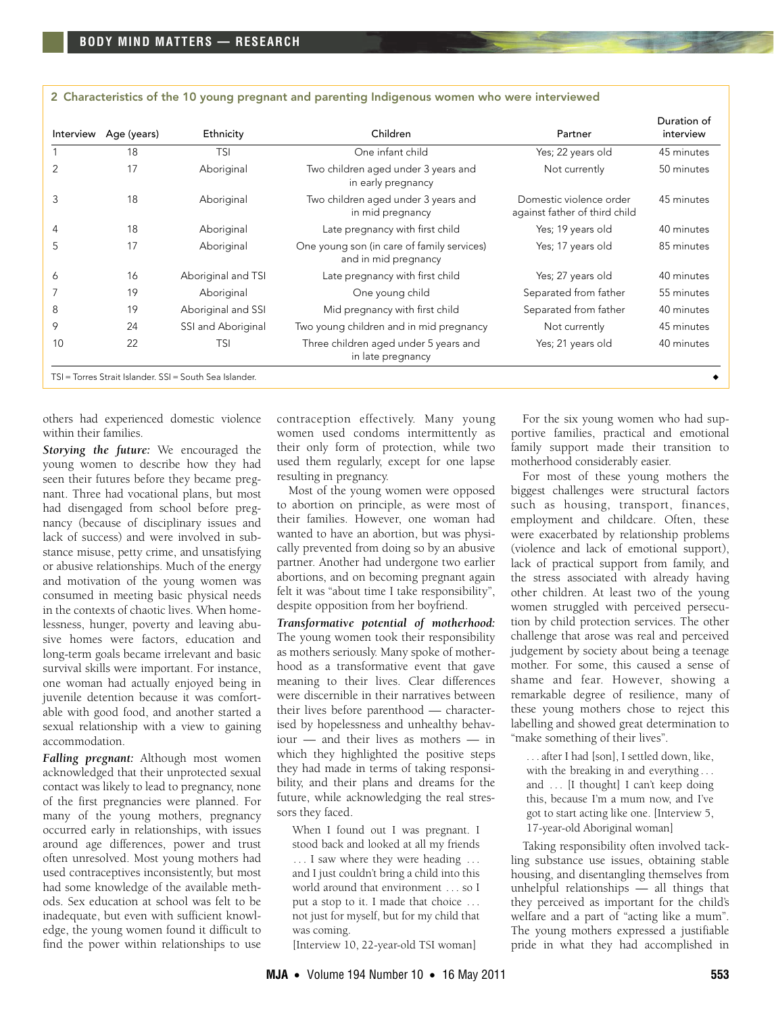| Interview | Age (years) | Ethnicity          | Children                                                           | Partner                                                  | Duration of<br>interview |
|-----------|-------------|--------------------|--------------------------------------------------------------------|----------------------------------------------------------|--------------------------|
|           | 18          | TSI                | One infant child                                                   | Yes; 22 years old                                        | 45 minutes               |
| 2         | 17          | Aboriginal         | Two children aged under 3 years and<br>in early pregnancy          | Not currently                                            | 50 minutes               |
| 3         | 18          | Aboriginal         | Two children aged under 3 years and<br>in mid pregnancy            | Domestic violence order<br>against father of third child | 45 minutes               |
| 4         | 18          | Aboriginal         | Late pregnancy with first child                                    | Yes; 19 years old                                        | 40 minutes               |
| 5         | 17          | Aboriginal         | One young son (in care of family services)<br>and in mid pregnancy | Yes; 17 years old                                        | 85 minutes               |
| 6         | 16          | Aboriginal and TSI | Late pregnancy with first child                                    | Yes; 27 years old                                        | 40 minutes               |
|           | 19          | Aboriginal         | One young child                                                    | Separated from father                                    | 55 minutes               |
| 8         | 19          | Aboriginal and SSI | Mid pregnancy with first child                                     | Separated from father                                    | 40 minutes               |
| 9         | 24          | SSI and Aboriginal | Two young children and in mid pregnancy                            | Not currently                                            | 45 minutes               |
| 10        | 22          | TSI                | Three children aged under 5 years and<br>in late pregnancy         | Yes; 21 years old                                        | 40 minutes               |

2 Characteristics of the 10 young pregnant and parenting Indigenous women who were interviewed

others had experienced domestic violence within their families.

*Storying the future:* We encouraged the young women to describe how they had seen their futures before they became pregnant. Three had vocational plans, but most had disengaged from school before pregnancy (because of disciplinary issues and lack of success) and were involved in substance misuse, petty crime, and unsatisfying or abusive relationships. Much of the energy and motivation of the young women was consumed in meeting basic physical needs in the contexts of chaotic lives. When homelessness, hunger, poverty and leaving abusive homes were factors, education and long-term goals became irrelevant and basic survival skills were important. For instance, one woman had actually enjoyed being in juvenile detention because it was comfortable with good food, and another started a sexual relationship with a view to gaining accommodation.

*Falling pregnant:* Although most women acknowledged that their unprotected sexual contact was likely to lead to pregnancy, none of the first pregnancies were planned. For many of the young mothers, pregnancy occurred early in relationships, with issues around age differences, power and trust often unresolved. Most young mothers had used contraceptives inconsistently, but most had some knowledge of the available methods. Sex education at school was felt to be inadequate, but even with sufficient knowledge, the young women found it difficult to find the power within relationships to use

contraception effectively. Many young women used condoms intermittently as their only form of protection, while two used them regularly, except for one lapse resulting in pregnancy.

Most of the young women were opposed to abortion on principle, as were most of their families. However, one woman had wanted to have an abortion, but was physically prevented from doing so by an abusive partner. Another had undergone two earlier abortions, and on becoming pregnant again felt it was "about time I take responsibility", despite opposition from her boyfriend.

*Transformative potential of motherhood:* The young women took their responsibility as mothers seriously. Many spoke of motherhood as a transformative event that gave meaning to their lives. Clear differences were discernible in their narratives between their lives before parenthood — characterised by hopelessness and unhealthy behaviour — and their lives as mothers — in which they highlighted the positive steps they had made in terms of taking responsibility, and their plans and dreams for the future, while acknowledging the real stressors they faced.

When I found out I was pregnant. I stood back and looked at all my friends ... I saw where they were heading ... and I just couldn't bring a child into this world around that environment . . . so I put a stop to it. I made that choice . . . not just for myself, but for my child that was coming.

[Interview 10, 22-year-old TSI woman]

For the six young women who had supportive families, practical and emotional family support made their transition to motherhood considerably easier.

For most of these young mothers the biggest challenges were structural factors such as housing, transport, finances, employment and childcare. Often, these were exacerbated by relationship problems (violence and lack of emotional support), lack of practical support from family, and the stress associated with already having other children. At least two of the young women struggled with perceived persecution by child protection services. The other challenge that arose was real and perceived judgement by society about being a teenage mother. For some, this caused a sense of shame and fear. However, showing a remarkable degree of resilience, many of these young mothers chose to reject this labelling and showed great determination to "make something of their lives".

. . . after I had [son], I settled down, like, with the breaking in and everything ... and . . . [I thought] I can't keep doing this, because I'm a mum now, and I've got to start acting like one. [Interview 5, 17-year-old Aboriginal woman]

Taking responsibility often involved tackling substance use issues, obtaining stable housing, and disentangling themselves from unhelpful relationships — all things that they perceived as important for the child's welfare and a part of "acting like a mum". The young mothers expressed a justifiable pride in what they had accomplished in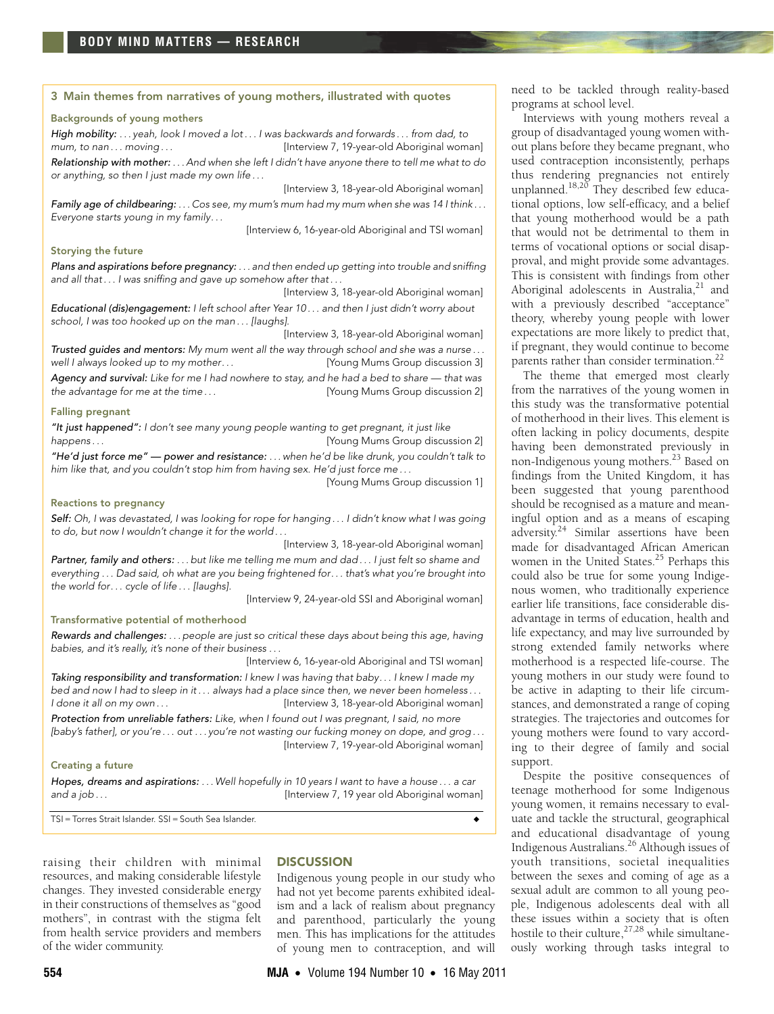## 3 Main themes from narratives of young mothers, illustrated with quotes

#### Backgrounds of young mothers

High mobility: . . . yeah, look I moved a lot . . . I was backwards and forwards . . . from dad, to<br>Interview 7, 19-year-old Aboriginal womi [Interview 7, 19-year-old Aboriginal woman] Relationship with mother: . . . And when she left I didn't have anyone there to tell me what to do or anything, so then I just made my own life . . .

[Interview 3, 18-year-old Aboriginal woman] Family age of childbearing: . . . Cos see, my mum's mum had my mum when she was 14 I think . . . Everyone starts young in my family. . .

[Interview 6, 16-year-old Aboriginal and TSI woman]

#### Storying the future

Plans and aspirations before pregnancy: ... and then ended up getting into trouble and sniffing and all that . . . I was sniffing and gave up somehow after that . . .

### [Interview 3, 18-year-old Aboriginal woman]

Educational (dis)engagement: I left school after Year 10 . . . and then I just didn't worry about school, I was too hooked up on the man . . . [laughs].

## [Interview 3, 18-year-old Aboriginal woman]

Trusted guides and mentors: My mum went all the way through school and she was a nurse . . . well I always looked up to my mother... [Young Mums Group discussion 3] Agency and survival: Like for me I had nowhere to stay, and he had a bed to share — that was the advantage for me at the time . . . [Young Mums Group discussion 2]

#### Falling pregnant

"It just happened": I don't see many young people wanting to get pregnant, it just like happens . . . [Young Mums Group discussion 2] "He'd just force me" — power and resistance: . . . when he'd be like drunk, you couldn't talk to him like that, and you couldn't stop him from having sex. He'd just force me...

[Young Mums Group discussion 1]

#### Reactions to pregnancy

Self: Oh, I was devastated, I was looking for rope for hanging . . . I didn't know what I was going to do, but now I wouldn't change it for the world . . .

[Interview 3, 18-year-old Aboriginal woman]

Partner, family and others: ... but like me telling me mum and dad ... I just felt so shame and everything . . . Dad said, oh what are you being frightened for. . . that's what you're brought into the world for. . . cycle of life . . . [laughs].

[Interview 9, 24-year-old SSI and Aboriginal woman]

#### Transformative potential of motherhood

Rewards and challenges: . . . people are just so critical these days about being this age, having babies, and it's really, it's none of their business . . .

[Interview 6, 16-year-old Aboriginal and TSI woman] Taking responsibility and transformation: I knew I was having that baby... I knew I made my bed and now I had to sleep in it . . . always had a place since then, we never been homeless . . . I done it all on my own . . . . . . . . . . . . . . . . . [Interview 3, 18-year-old Aboriginal woman]

Protection from unreliable fathers: Like, when I found out I was pregnant, I said, no more [baby's father], or you're . . . out . . . you're not wasting our fucking money on dope, and grog . . . [Interview 7, 19-year-old Aboriginal woman]

### Creating a future

Hopes, dreams and aspirations: ... Well hopefully in 10 years I want to have a house ... a car and a job . . . [Interview 7, 19 year old Aboriginal woman]

TSI = Torres Strait Islander. SSI = South Sea Islander. ◆

raising their children with minimal resources, and making considerable lifestyle changes. They invested considerable energy in their constructions of themselves as "good mothers", in contrast with the stigma felt from health service providers and members of the wider community.

## **DISCUSSION**

Indigenous young people in our study who had not yet become parents exhibited idealism and a lack of realism about pregnancy and parenthood, particularly the young men. This has implications for the attitudes of young men to contraception, and will

**554 MJA** • Volume 194 Number 10 • 16 May 2011

need to be tackled through reality-based programs at school level.

Interviews with young mothers reveal a group of disadvantaged young women without plans before they became pregnant, who used contraception inconsistently, perhaps thus rendering pregnancies not entirely unplanned.<sup>18,20</sup> They described few educational options, low self-efficacy, and a belief that young motherhood would be a path that would not be detrimental to them in terms of vocational options or social disapproval, and might provide some advantages. This is consistent with findings from other Aboriginal adolescents in Australia, $21$  and with a previously described "acceptance" theory, whereby young people with lower expectations are more likely to predict that, if pregnant, they would continue to become parents rather than consider termination.<sup>22</sup>

The theme that emerged most clearly from the narratives of the young women in this study was the transformative potential of motherhood in their lives. This element is often lacking in policy documents, despite having been demonstrated previously in non-Indigenous young mothers[.23](#page-4-22) Based on findings from the United Kingdom, it has been suggested that young parenthood should be recognised as a mature and meaningful option and as a means of escaping adversity[.24](#page-4-23) Similar assertions have been made for disadvantaged African American women in the United States.<sup>25</sup> Perhaps this could also be true for some young Indigenous women, who traditionally experience earlier life transitions, face considerable disadvantage in terms of education, health and life expectancy, and may live surrounded by strong extended family networks where motherhood is a respected life-course. The young mothers in our study were found to be active in adapting to their life circumstances, and demonstrated a range of coping strategies. The trajectories and outcomes for young mothers were found to vary according to their degree of family and social support.

Despite the positive consequences of teenage motherhood for some Indigenous young women, it remains necessary to evaluate and tackle the structural, geographical and educational disadvantage of young Indigenous Australians.[26](#page-4-25) Although issues of youth transitions, societal inequalities between the sexes and coming of age as a sexual adult are common to all young people, Indigenous adolescents deal with all these issues within a society that is often hostile to their culture,  $27,28$  $27,28$  while simultaneously working through tasks integral to